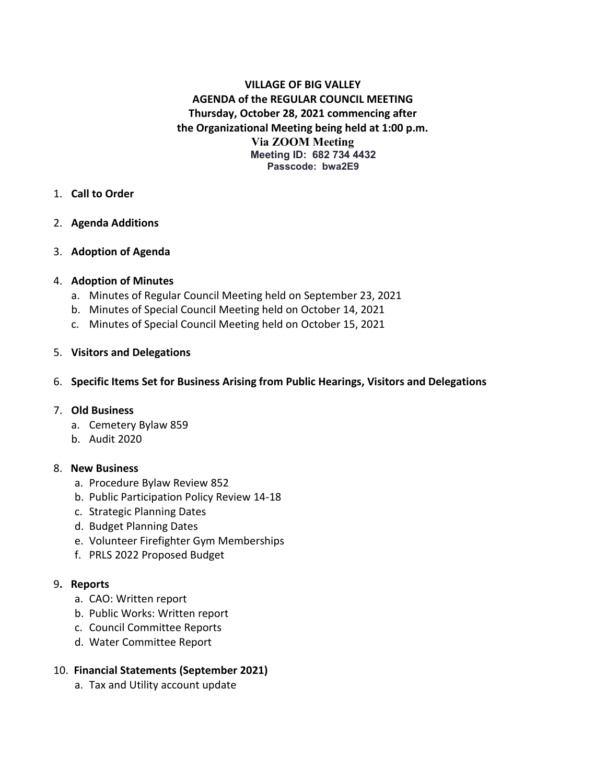## **VILLAGE OF BIG VALLEY AGENDA of the REGULAR COUNCIL MEETING Thursday, October 28, 2021 commencing after the Organizational Meeting being held at 1:00 p.m. Via ZOOM Meeting Meeting ID: 682 734 4432 Passcode: bwa2E9**

- 1. **Call to Order**
- 2. **Agenda Additions**
- 3. **Adoption of Agenda**

### 4. **Adoption of Minutes**

- a. Minutes of Regular Council Meeting held on September 23, 2021
- b. Minutes of Special Council Meeting held on October 14, 2021
- c. Minutes of Special Council Meeting held on October 15, 2021

#### 5. **Visitors and Delegations**

#### 6. **Specific Items Set for Business Arising from Public Hearings, Visitors and Delegations**

#### 7. **Old Business**

- a. Cemetery Bylaw 859
- b. Audit 2020

#### 8. **New Business**

- a. Procedure Bylaw Review 852
- b. Public Participation Policy Review 14-18
- c. Strategic Planning Dates
- d. Budget Planning Dates
- e. Volunteer Firefighter Gym Memberships
- f. PRLS 2022 Proposed Budget

#### 9**. Reports**

- a. CAO: Written report
- b. Public Works: Written report
- c. Council Committee Reports
- d. Water Committee Report

#### 10. **Financial Statements (September 2021)**

a. Tax and Utility account update